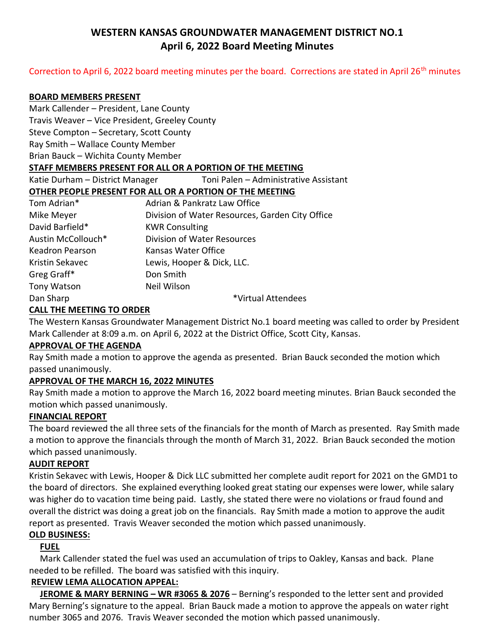# **WESTERN KANSAS GROUNDWATER MANAGEMENT DISTRICT NO.1 April 6, 2022 Board Meeting Minutes**

### Correction to April 6, 2022 board meeting minutes per the board. Corrections are stated in April 26<sup>th</sup> minutes

#### **BOARD MEMBERS PRESENT**

Mark Callender – President, Lane County

Travis Weaver – Vice President, Greeley County

Steve Compton – Secretary, Scott County

Ray Smith – Wallace County Member

Brian Bauck – Wichita County Member

### **STAFF MEMBERS PRESENT FOR ALL OR A PORTION OF THE MEETING**

Katie Durham – District Manager Toni Palen – Administrative Assistant

## **OTHER PEOPLE PRESENT FOR ALL OR A PORTION OF THE MEETING**

| Tom Adrian*            | Adrian & Pankratz Law Office                    |
|------------------------|-------------------------------------------------|
| Mike Meyer             | Division of Water Resources, Garden City Office |
| David Barfield*        | <b>KWR Consulting</b>                           |
| Austin McCollouch*     | <b>Division of Water Resources</b>              |
| <b>Keadron Pearson</b> | Kansas Water Office                             |
| Kristin Sekavec        | Lewis, Hooper & Dick, LLC.                      |
| Greg Graff*            | Don Smith                                       |
| Tony Watson            | Neil Wilson                                     |
| Dan Sharp              | *Virtual Attendees                              |

### **CALL THE MEETING TO ORDER**

The Western Kansas Groundwater Management District No.1 board meeting was called to order by President Mark Callender at 8:09 a.m. on April 6, 2022 at the District Office, Scott City, Kansas.

### **APPROVAL OF THE AGENDA**

Ray Smith made a motion to approve the agenda as presented. Brian Bauck seconded the motion which passed unanimously.

## **APPROVAL OF THE MARCH 16, 2022 MINUTES**

Ray Smith made a motion to approve the March 16, 2022 board meeting minutes. Brian Bauck seconded the motion which passed unanimously.

### **FINANCIAL REPORT**

The board reviewed the all three sets of the financials for the month of March as presented. Ray Smith made a motion to approve the financials through the month of March 31, 2022. Brian Bauck seconded the motion which passed unanimously.

### **AUDIT REPORT**

Kristin Sekavec with Lewis, Hooper & Dick LLC submitted her complete audit report for 2021 on the GMD1 to the board of directors. She explained everything looked great stating our expenses were lower, while salary was higher do to vacation time being paid. Lastly, she stated there were no violations or fraud found and overall the district was doing a great job on the financials. Ray Smith made a motion to approve the audit report as presented. Travis Weaver seconded the motion which passed unanimously.

### **OLD BUSINESS:**

 **FUEL**

 Mark Callender stated the fuel was used an accumulation of trips to Oakley, Kansas and back. Plane needed to be refilled. The board was satisfied with this inquiry.

### **REVIEW LEMA ALLOCATION APPEAL:**

 **JEROME & MARY BERNING – WR #3065 & 2076** – Berning's responded to the letter sent and provided Mary Berning's signature to the appeal. Brian Bauck made a motion to approve the appeals on water right number 3065 and 2076. Travis Weaver seconded the motion which passed unanimously.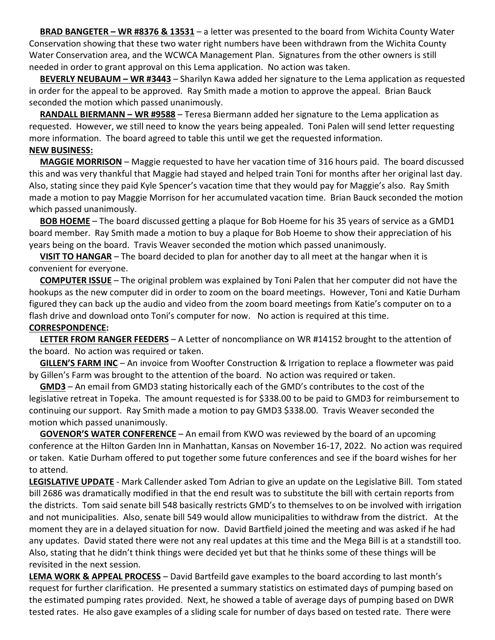**BRAD BANGETER – WR #8376 & 13531** – a letter was presented to the board from Wichita County Water Conservation showing that these two water right numbers have been withdrawn from the Wichita County Water Conservation area, and the WCWCA Management Plan. Signatures from the other owners is still needed in order to grant approval on this Lema application. No action was taken.

 **BEVERLY NEUBAUM – WR #3443** – Sharilyn Kawa added her signature to the Lema application as requested in order for the appeal to be approved. Ray Smith made a motion to approve the appeal. Brian Bauck seconded the motion which passed unanimously.

 **RANDALL BIERMANN – WR #9588** – Teresa Biermann added her signature to the Lema application as requested. However, we still need to know the years being appealed. Toni Palen will send letter requesting more information. The board agreed to table this until we get the requested information.

#### **NEW BUSINESS:**

 **MAGGIE MORRISON** – Maggie requested to have her vacation time of 316 hours paid. The board discussed this and was very thankful that Maggie had stayed and helped train Toni for months after her original last day. Also, stating since they paid Kyle Spencer's vacation time that they would pay for Maggie's also. Ray Smith made a motion to pay Maggie Morrison for her accumulated vacation time. Brian Bauck seconded the motion which passed unanimously.

 **BOB HOEME** – The board discussed getting a plaque for Bob Hoeme for his 35 years of service as a GMD1 board member. Ray Smith made a motion to buy a plaque for Bob Hoeme to show their appreciation of his years being on the board. Travis Weaver seconded the motion which passed unanimously.

 **VISIT TO HANGAR** – The board decided to plan for another day to all meet at the hangar when it is convenient for everyone.

 **COMPUTER ISSUE** – The original problem was explained by Toni Palen that her computer did not have the hookups as the new computer did in order to zoom on the board meetings. However, Toni and Katie Durham figured they can back up the audio and video from the zoom board meetings from Katie's computer on to a flash drive and download onto Toni's computer for now. No action is required at this time.

### **CORRESPONDENCE:**

 **LETTER FROM RANGER FEEDERS** – A Letter of noncompliance on WR #14152 brought to the attention of the board. No action was required or taken.

 **GILLEN'S FARM INC** – An invoice from Woofter Construction & Irrigation to replace a flowmeter was paid by Gillen's Farm was brought to the attention of the board. No action was required or taken.

 **GMD3** – An email from GMD3 stating historically each of the GMD's contributes to the cost of the legislative retreat in Topeka. The amount requested is for \$338.00 to be paid to GMD3 for reimbursement to continuing our support. Ray Smith made a motion to pay GMD3 \$338.00. Travis Weaver seconded the motion which passed unanimously.

 **GOVENOR'S WATER CONFERENCE** – An email from KWO was reviewed by the board of an upcoming conference at the Hilton Garden Inn in Manhattan, Kansas on November 16-17, 2022. No action was required or taken. Katie Durham offered to put together some future conferences and see if the board wishes for her to attend.

**LEGISLATIVE UPDATE** - Mark Callender asked Tom Adrian to give an update on the Legislative Bill. Tom stated bill 2686 was dramatically modified in that the end result was to substitute the bill with certain reports from the districts. Tom said senate bill 548 basically restricts GMD's to themselves to on be involved with irrigation and not municipalities. Also, senate bill 549 would allow municipalities to withdraw from the district. At the moment they are in a delayed situation for now. David Bartfield joined the meeting and was asked if he had any updates. David stated there were not any real updates at this time and the Mega Bill is at a standstill too. Also, stating that he didn't think things were decided yet but that he thinks some of these things will be revisited in the next session.

**LEMA WORK & APPEAL PROCESS** – David Bartfeild gave examples to the board according to last month's request for further clarification. He presented a summary statistics on estimated days of pumping based on the estimated pumping rates provided. Next, he showed a table of average days of pumping based on DWR tested rates. He also gave examples of a sliding scale for number of days based on tested rate. There were